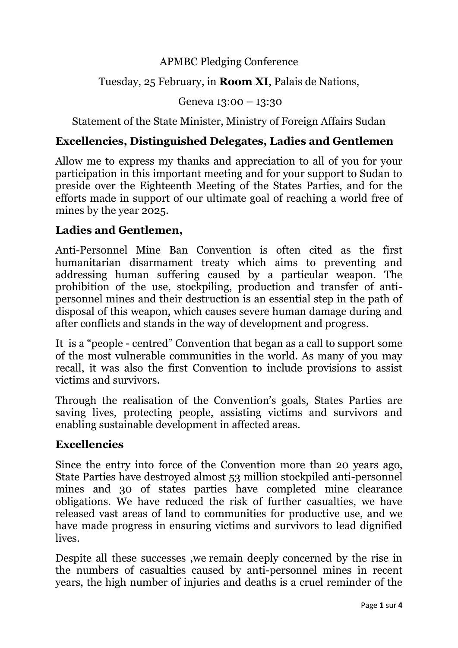## APMBC Pledging Conference

## Tuesday, 25 February, in **Room XI**, Palais de Nations,

Geneva 13:00 – 13:30

Statement of the State Minister, Ministry of Foreign Affairs Sudan

# **Excellencies, Distinguished Delegates, Ladies and Gentlemen**

Allow me to express my thanks and appreciation to all of you for your participation in this important meeting and for your support to Sudan to preside over the Eighteenth Meeting of the States Parties, and for the efforts made in support of our ultimate goal of reaching a world free of mines by the year 2025.

### **Ladies and Gentlemen,**

Anti-Personnel Mine Ban Convention is often cited as the first humanitarian disarmament treaty which aims to preventing and addressing human suffering caused by a particular weapon. The prohibition of the use, stockpiling, production and transfer of antipersonnel mines and their destruction is an essential step in the path of disposal of this weapon, which causes severe human damage during and after conflicts and stands in the way of development and progress.

It is a "people - centred" Convention that began as a call to support some of the most vulnerable communities in the world. As many of you may recall, it was also the first Convention to include provisions to assist victims and survivors.

Through the realisation of the Convention's goals, States Parties are saving lives, protecting people, assisting victims and survivors and enabling sustainable development in affected areas.

#### **Excellencies**

Since the entry into force of the Convention more than 20 years ago, State Parties have destroyed almost 53 million stockpiled anti-personnel mines and 30 of states parties have completed mine clearance obligations. We have reduced the risk of further casualties, we have released vast areas of land to communities for productive use, and we have made progress in ensuring victims and survivors to lead dignified lives.

Despite all these successes ,we remain deeply concerned by the rise in the numbers of casualties caused by anti-personnel mines in recent years, the high number of injuries and deaths is a cruel reminder of the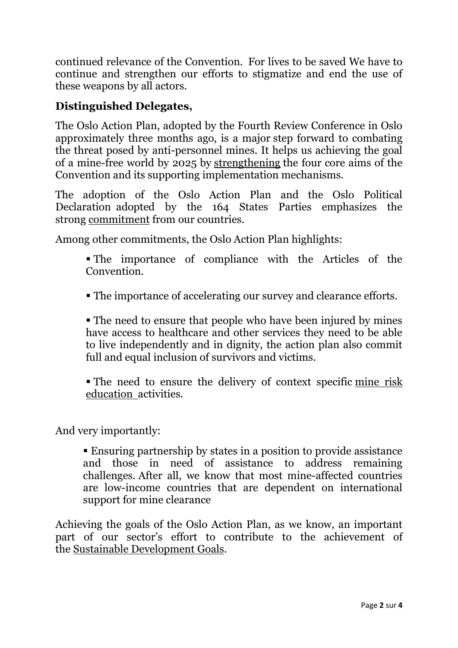continued relevance of the Convention. For lives to be saved We have to continue and strengthen our efforts to stigmatize and end the use of these weapons by all actors.

# **Distinguished Delegates,**

The Oslo Action Plan, adopted by the Fourth Review Conference in Oslo approximately three months ago, is a major step forward to combating the threat posed by anti-personnel mines. It helps us achieving the goal of a mine-free world by 2025 by strengthening the four core aims of the Convention and its supporting implementation mechanisms.

The adoption of the Oslo Action Plan and the Oslo Political Declaration adopted by the 164 States Parties emphasizes the strong commitment from our countries.

Among other commitments, the Oslo Action Plan highlights:

▪ The importance of compliance with the Articles of the Convention.

▪ The importance of accelerating our survey and clearance efforts.

• The need to ensure that people who have been injured by mines have access to healthcare and other services they need to be able to live independently and in dignity, the action plan also commit full and equal inclusion of survivors and victims.

▪ The need to ensure the delivery of context specific mine risk education activities.

And very importantly:

▪ Ensuring partnership by states in a position to provide assistance and those in need of assistance to address remaining challenges. After all, we know that most mine-affected countries are low-income countries that are dependent on international support for mine clearance

Achieving the goals of the Oslo Action Plan, as we know, an important part of our sector's effort to contribute to the achievement of the Sustainable Development Goals.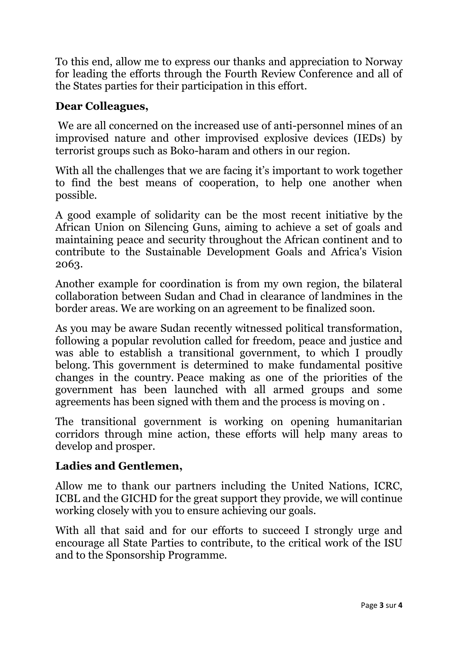To this end, allow me to express our thanks and appreciation to Norway for leading the efforts through the Fourth Review Conference and all of the States parties for their participation in this effort.

## **Dear Colleagues,**

We are all concerned on the increased use of anti-personnel mines of an improvised nature and other improvised explosive devices (IEDs) by terrorist groups such as Boko-haram and others in our region.

With all the challenges that we are facing it's important to work together to find the best means of cooperation, to help one another when possible.

A good example of solidarity can be the most recent initiative by the African Union on Silencing Guns, aiming to achieve a set of goals and maintaining peace and security throughout the African continent and to contribute to the Sustainable Development Goals and Africa's Vision 2063.

Another example for coordination is from my own region, the bilateral collaboration between Sudan and Chad in clearance of landmines in the border areas. We are working on an agreement to be finalized soon.

As you may be aware Sudan recently witnessed political transformation, following a popular revolution called for freedom, peace and justice and was able to establish a transitional government, to which I proudly belong. This government is determined to make fundamental positive changes in the country. Peace making as one of the priorities of the government has been launched with all armed groups and some agreements has been signed with them and the process is moving on .

The transitional government is working on opening humanitarian corridors through mine action, these efforts will help many areas to develop and prosper.

## **Ladies and Gentlemen,**

Allow me to thank our partners including the United Nations, ICRC, ICBL and the GICHD for the great support they provide, we will continue working closely with you to ensure achieving our goals.

With all that said and for our efforts to succeed I strongly urge and encourage all State Parties to contribute, to the critical work of the ISU and to the Sponsorship Programme.